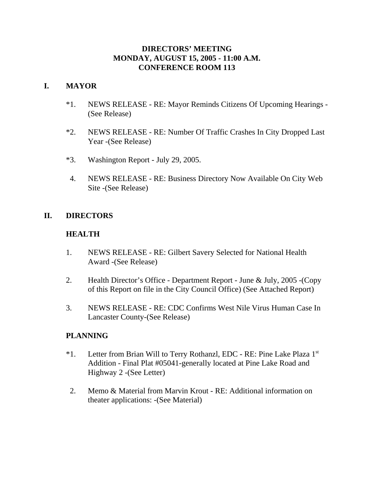## **DIRECTORS' MEETING MONDAY, AUGUST 15, 2005 - 11:00 A.M. CONFERENCE ROOM 113**

## **I. MAYOR**

- \*1. NEWS RELEASE RE: Mayor Reminds Citizens Of Upcoming Hearings (See Release)
- \*2. NEWS RELEASE RE: Number Of Traffic Crashes In City Dropped Last Year -(See Release)
- \*3. Washington Report July 29, 2005.
- 4. NEWS RELEASE RE: Business Directory Now Available On City Web Site -(See Release)

# **II. DIRECTORS**

## **HEALTH**

- 1. NEWS RELEASE RE: Gilbert Savery Selected for National Health Award -(See Release)
- 2. Health Director's Office Department Report June & July, 2005 -(Copy of this Report on file in the City Council Office) (See Attached Report)
- 3. NEWS RELEASE RE: CDC Confirms West Nile Virus Human Case In Lancaster County-(See Release)

## **PLANNING**

- \*1. Letter from Brian Will to Terry Rothanzl, EDC RE: Pine Lake Plaza 1st Addition - Final Plat #05041-generally located at Pine Lake Road and Highway 2 -(See Letter)
- 2. Memo & Material from Marvin Krout RE: Additional information on theater applications: -(See Material)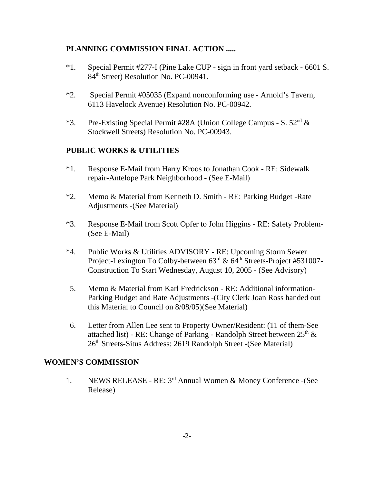## **PLANNING COMMISSION FINAL ACTION .....**

- \*1. Special Permit #277-I (Pine Lake CUP sign in front yard setback 6601 S. 84<sup>th</sup> Street) Resolution No. PC-00941.
- \*2. Special Permit #05035 (Expand nonconforming use Arnold's Tavern, 6113 Havelock Avenue) Resolution No. PC-00942.
- \*3. Pre-Existing Special Permit #28A (Union College Campus S.  $52<sup>nd</sup>$  & Stockwell Streets) Resolution No. PC-00943.

## **PUBLIC WORKS & UTILITIES**

- \*1. Response E-Mail from Harry Kroos to Jonathan Cook RE: Sidewalk repair-Antelope Park Neighborhood - (See E-Mail)
- \*2. Memo & Material from Kenneth D. Smith RE: Parking Budget -Rate Adjustments -(See Material)
- \*3. Response E-Mail from Scott Opfer to John Higgins RE: Safety Problem- (See E-Mail)
- \*4. Public Works & Utilities ADVISORY RE: Upcoming Storm Sewer Project-Lexington To Colby-between  $63<sup>rd</sup>$  &  $64<sup>th</sup>$  Streets-Project #531007-Construction To Start Wednesday, August 10, 2005 - (See Advisory)
- 5. Memo & Material from Karl Fredrickson RE: Additional information-Parking Budget and Rate Adjustments -(City Clerk Joan Ross handed out this Material to Council on 8/08/05)(See Material)
- 6. Letter from Allen Lee sent to Property Owner/Resident: (11 of them-See attached list) - RE: Change of Parking - Randolph Street between  $25<sup>th</sup>$  & 26th Streets-Situs Address: 2619 Randolph Street -(See Material)

## **WOMEN'S COMMISSION**

1. NEWS RELEASE - RE: 3rd Annual Women & Money Conference -(See Release)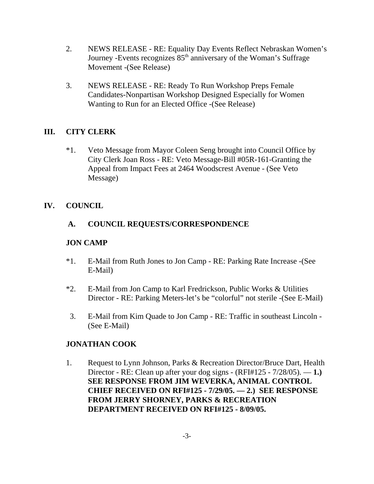- 2. NEWS RELEASE RE: Equality Day Events Reflect Nebraskan Women's Journey -Events recognizes  $85<sup>th</sup>$  anniversary of the Woman's Suffrage Movement -(See Release)
- 3. NEWS RELEASE RE: Ready To Run Workshop Preps Female Candidates-Nonpartisan Workshop Designed Especially for Women Wanting to Run for an Elected Office -(See Release)

## **III. CITY CLERK**

\*1. Veto Message from Mayor Coleen Seng brought into Council Office by City Clerk Joan Ross - RE: Veto Message-Bill #05R-161-Granting the Appeal from Impact Fees at 2464 Woodscrest Avenue - (See Veto Message)

## **IV. COUNCIL**

## **A. COUNCIL REQUESTS/CORRESPONDENCE**

## **JON CAMP**

- \*1. E-Mail from Ruth Jones to Jon Camp RE: Parking Rate Increase -(See E-Mail)
- \*2. E-Mail from Jon Camp to Karl Fredrickson, Public Works & Utilities Director - RE: Parking Meters-let's be "colorful" not sterile -(See E-Mail)
- 3. E-Mail from Kim Quade to Jon Camp RE: Traffic in southeast Lincoln (See E-Mail)

## **JONATHAN COOK**

1. Request to Lynn Johnson, Parks & Recreation Director/Bruce Dart, Health Director - RE: Clean up after your dog signs - (RFI#125 - 7/28/05). — **1.) SEE RESPONSE FROM JIM WEVERKA, ANIMAL CONTROL CHIEF RECEIVED ON RFI#125 - 7/29/05. — 2.) SEE RESPONSE FROM JERRY SHORNEY, PARKS & RECREATION DEPARTMENT RECEIVED ON RFI#125 - 8/09/05.**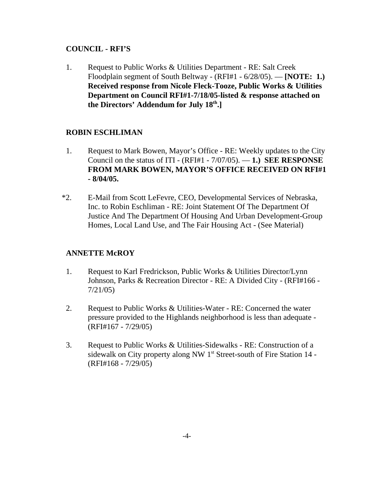## **COUNCIL - RFI'S**

1. Request to Public Works & Utilities Department - RE: Salt Creek Floodplain segment of South Beltway - (RFI#1 - 6/28/05). — **[NOTE: 1.) Received response from Nicole Fleck-Tooze, Public Works & Utilities Department on Council RFI#1-7/18/05-listed & response attached on the Directors' Addendum for July 18th.]** 

## **ROBIN ESCHLIMAN**

- 1. Request to Mark Bowen, Mayor's Office RE: Weekly updates to the City Council on the status of ITI - (RFI#1 - 7/07/05). — **1.) SEE RESPONSE FROM MARK BOWEN, MAYOR'S OFFICE RECEIVED ON RFI#1 - 8/04/05.**
- \*2. E-Mail from Scott LeFevre, CEO, Developmental Services of Nebraska, Inc. to Robin Eschliman - RE: Joint Statement Of The Department Of Justice And The Department Of Housing And Urban Development-Group Homes, Local Land Use, and The Fair Housing Act - (See Material)

# **ANNETTE McROY**

- 1. Request to Karl Fredrickson, Public Works & Utilities Director/Lynn Johnson, Parks & Recreation Director - RE: A Divided City - (RFI#166 - 7/21/05)
- 2. Request to Public Works & Utilities-Water RE: Concerned the water pressure provided to the Highlands neighborhood is less than adequate - (RFI#167 - 7/29/05)
- 3. Request to Public Works & Utilities-Sidewalks RE: Construction of a sidewalk on City property along NW 1<sup>st</sup> Street-south of Fire Station 14 -(RFI#168 - 7/29/05)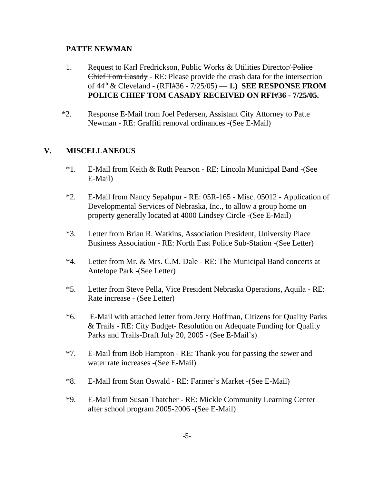#### **PATTE NEWMAN**

- 1. Request to Karl Fredrickson, Public Works & Utilities Director/Police Chief Tom Casady - RE: Please provide the crash data for the intersection of 44th & Cleveland - (RFI#36 - 7/25/05) — **1.) SEE RESPONSE FROM POLICE CHIEF TOM CASADY RECEIVED ON RFI#36 - 7/25/05.**
- \*2. Response E-Mail from Joel Pedersen, Assistant City Attorney to Patte Newman - RE: Graffiti removal ordinances -(See E-Mail)

## **V. MISCELLANEOUS**

- \*1. E-Mail from Keith & Ruth Pearson RE: Lincoln Municipal Band -(See E-Mail)
- \*2. E-Mail from Nancy Sepahpur RE: 05R-165 Misc. 05012 Application of Developmental Services of Nebraska, Inc., to allow a group home on property generally located at 4000 Lindsey Circle -(See E-Mail)
- \*3. Letter from Brian R. Watkins, Association President, University Place Business Association - RE: North East Police Sub-Station -(See Letter)
- \*4. Letter from Mr. & Mrs. C.M. Dale RE: The Municipal Band concerts at Antelope Park -(See Letter)
- \*5. Letter from Steve Pella, Vice President Nebraska Operations, Aquila RE: Rate increase - (See Letter)
- \*6. E-Mail with attached letter from Jerry Hoffman, Citizens for Quality Parks & Trails - RE: City Budget- Resolution on Adequate Funding for Quality Parks and Trails-Draft July 20, 2005 - (See E-Mail's)
- \*7. E-Mail from Bob Hampton RE: Thank-you for passing the sewer and water rate increases -(See E-Mail)
- \*8. E-Mail from Stan Oswald RE: Farmer's Market -(See E-Mail)
- \*9. E-Mail from Susan Thatcher RE: Mickle Community Learning Center after school program 2005-2006 -(See E-Mail)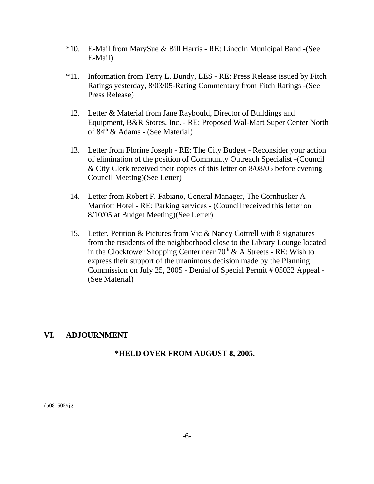- \*10. E-Mail from MarySue & Bill Harris RE: Lincoln Municipal Band -(See E-Mail)
- \*11. Information from Terry L. Bundy, LES RE: Press Release issued by Fitch Ratings yesterday, 8/03/05-Rating Commentary from Fitch Ratings -(See Press Release)
- 12. Letter & Material from Jane Raybould, Director of Buildings and Equipment, B&R Stores, Inc. - RE: Proposed Wal-Mart Super Center North of 84th & Adams - (See Material)
- 13. Letter from Florine Joseph RE: The City Budget Reconsider your action of elimination of the position of Community Outreach Specialist -(Council & City Clerk received their copies of this letter on 8/08/05 before evening Council Meeting)(See Letter)
- 14. Letter from Robert F. Fabiano, General Manager, The Cornhusker A Marriott Hotel - RE: Parking services - (Council received this letter on 8/10/05 at Budget Meeting)(See Letter)
- 15. Letter, Petition & Pictures from Vic & Nancy Cottrell with 8 signatures from the residents of the neighborhood close to the Library Lounge located in the Clocktower Shopping Center near  $70<sup>th</sup>$  & A Streets - RE: Wish to express their support of the unanimous decision made by the Planning Commission on July 25, 2005 - Denial of Special Permit # 05032 Appeal - (See Material)

## **VI. ADJOURNMENT**

## **\*HELD OVER FROM AUGUST 8, 2005.**

da081505/tjg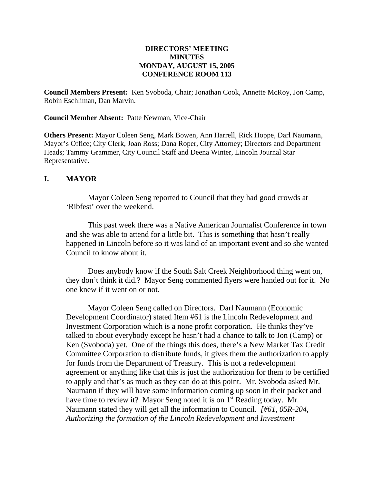#### **DIRECTORS' MEETING MINUTES MONDAY, AUGUST 15, 2005 CONFERENCE ROOM 113**

**Council Members Present:** Ken Svoboda, Chair; Jonathan Cook, Annette McRoy, Jon Camp, Robin Eschliman, Dan Marvin.

**Council Member Absent:** Patte Newman, Vice-Chair

**Others Present:** Mayor Coleen Seng, Mark Bowen, Ann Harrell, Rick Hoppe, Darl Naumann, Mayor's Office; City Clerk, Joan Ross; Dana Roper, City Attorney; Directors and Department Heads; Tammy Grammer, City Council Staff and Deena Winter, Lincoln Journal Star Representative.

#### **I. MAYOR**

Mayor Coleen Seng reported to Council that they had good crowds at 'Ribfest' over the weekend.

This past week there was a Native American Journalist Conference in town and she was able to attend for a little bit. This is something that hasn't really happened in Lincoln before so it was kind of an important event and so she wanted Council to know about it.

Does anybody know if the South Salt Creek Neighborhood thing went on, they don't think it did.? Mayor Seng commented flyers were handed out for it. No one knew if it went on or not.

Mayor Coleen Seng called on Directors. Darl Naumann (Economic Development Coordinator) stated Item #61 is the Lincoln Redevelopment and Investment Corporation which is a none profit corporation. He thinks they've talked to about everybody except he hasn't had a chance to talk to Jon (Camp) or Ken (Svoboda) yet. One of the things this does, there's a New Market Tax Credit Committee Corporation to distribute funds, it gives them the authorization to apply for funds from the Department of Treasury. This is not a redevelopment agreement or anything like that this is just the authorization for them to be certified to apply and that's as much as they can do at this point. Mr. Svoboda asked Mr. Naumann if they will have some information coming up soon in their packet and have time to review it? Mayor Seng noted it is on 1<sup>st</sup> Reading today. Mr. Naumann stated they will get all the information to Council. *[#61, 05R-204, Authorizing the formation of the Lincoln Redevelopment and Investment*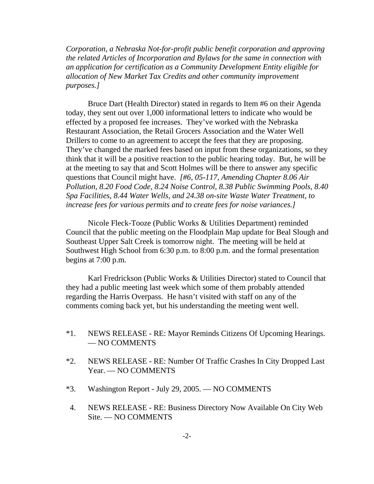*Corporation, a Nebraska Not-for-profit public benefit corporation and approving the related Articles of Incorporation and Bylaws for the same in connection with an application for certification as a Community Development Entity eligible for allocation of New Market Tax Credits and other community improvement purposes.]* 

Bruce Dart (Health Director) stated in regards to Item #6 on their Agenda today, they sent out over 1,000 informational letters to indicate who would be effected by a proposed fee increases. They've worked with the Nebraska Restaurant Association, the Retail Grocers Association and the Water Well Drillers to come to an agreement to accept the fees that they are proposing. They've changed the marked fees based on input from these organizations, so they think that it will be a positive reaction to the public hearing today. But, he will be at the meeting to say that and Scott Holmes will be there to answer any specific questions that Council might have. *[#6, 05-117, Amending Chapter 8.06 Air Pollution, 8.20 Food Code, 8.24 Noise Control, 8.38 Public Swimming Pools, 8.40 Spa Facilities, 8.44 Water Wells, and 24.38 on-site Waste Water Treatment, to increase fees for various permits and to create fees for noise variances.]* 

Nicole Fleck-Tooze (Public Works & Utilities Department) reminded Council that the public meeting on the Floodplain Map update for Beal Slough and Southeast Upper Salt Creek is tomorrow night. The meeting will be held at Southwest High School from 6:30 p.m. to 8:00 p.m. and the formal presentation begins at 7:00 p.m.

Karl Fredrickson (Public Works & Utilities Director) stated to Council that they had a public meeting last week which some of them probably attended regarding the Harris Overpass. He hasn't visited with staff on any of the comments coming back yet, but his understanding the meeting went well.

- \*1. NEWS RELEASE RE: Mayor Reminds Citizens Of Upcoming Hearings. — NO COMMENTS
- \*2. NEWS RELEASE RE: Number Of Traffic Crashes In City Dropped Last Year. — NO COMMENTS
- \*3. Washington Report July 29, 2005. NO COMMENTS
- 4. NEWS RELEASE RE: Business Directory Now Available On City Web Site. — NO COMMENTS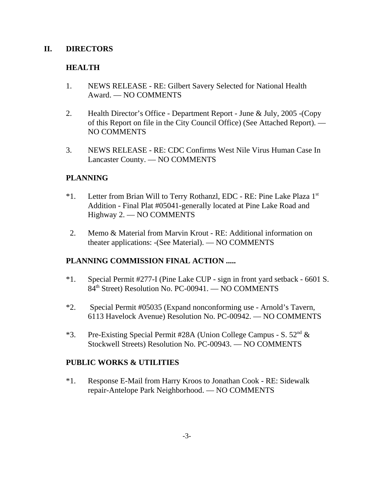#### **II. DIRECTORS**

## **HEALTH**

- 1. NEWS RELEASE RE: Gilbert Savery Selected for National Health Award. — NO COMMENTS
- 2. Health Director's Office Department Report June & July, 2005 -(Copy of this Report on file in the City Council Office) (See Attached Report). — NO COMMENTS
- 3. NEWS RELEASE RE: CDC Confirms West Nile Virus Human Case In Lancaster County. — NO COMMENTS

## **PLANNING**

- \*1. Letter from Brian Will to Terry Rothanzl, EDC RE: Pine Lake Plaza 1st Addition - Final Plat #05041-generally located at Pine Lake Road and Highway 2. — NO COMMENTS
- 2. Memo & Material from Marvin Krout RE: Additional information on theater applications: -(See Material). — NO COMMENTS

## **PLANNING COMMISSION FINAL ACTION .....**

- \*1. Special Permit #277-I (Pine Lake CUP sign in front yard setback 6601 S. 84<sup>th</sup> Street) Resolution No. PC-00941. — NO COMMENTS
- \*2. Special Permit #05035 (Expand nonconforming use Arnold's Tavern, 6113 Havelock Avenue) Resolution No. PC-00942. — NO COMMENTS
- \*3. Pre-Existing Special Permit #28A (Union College Campus S.  $52<sup>nd</sup>$  & Stockwell Streets) Resolution No. PC-00943. — NO COMMENTS

## **PUBLIC WORKS & UTILITIES**

\*1. Response E-Mail from Harry Kroos to Jonathan Cook - RE: Sidewalk repair-Antelope Park Neighborhood. — NO COMMENTS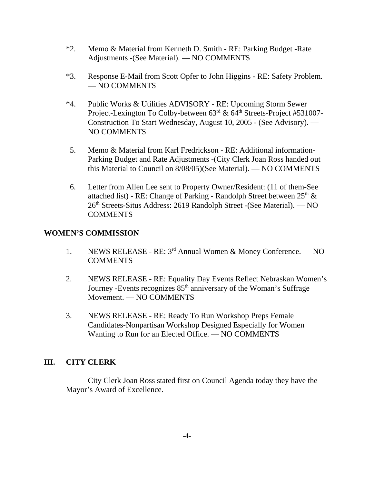- \*2. Memo & Material from Kenneth D. Smith RE: Parking Budget -Rate Adjustments -(See Material). — NO COMMENTS
- \*3. Response E-Mail from Scott Opfer to John Higgins RE: Safety Problem. — NO COMMENTS
- \*4. Public Works & Utilities ADVISORY RE: Upcoming Storm Sewer Project-Lexington To Colby-between  $63<sup>rd</sup>$  &  $64<sup>th</sup>$  Streets-Project #531007-Construction To Start Wednesday, August 10, 2005 - (See Advisory). — NO COMMENTS
- 5. Memo & Material from Karl Fredrickson RE: Additional information-Parking Budget and Rate Adjustments -(City Clerk Joan Ross handed out this Material to Council on 8/08/05)(See Material). — NO COMMENTS
- 6. Letter from Allen Lee sent to Property Owner/Resident: (11 of them-See attached list) - RE: Change of Parking - Randolph Street between  $25<sup>th</sup>$  & 26<sup>th</sup> Streets-Situs Address: 2619 Randolph Street -(See Material). — NO COMMENTS

## **WOMEN'S COMMISSION**

- 1. NEWS RELEASE RE: 3rd Annual Women & Money Conference. NO **COMMENTS**
- 2. NEWS RELEASE RE: Equality Day Events Reflect Nebraskan Women's Journey -Events recognizes  $85<sup>th</sup>$  anniversary of the Woman's Suffrage Movement. — NO COMMENTS
- 3. NEWS RELEASE RE: Ready To Run Workshop Preps Female Candidates-Nonpartisan Workshop Designed Especially for Women Wanting to Run for an Elected Office. — NO COMMENTS

## **III. CITY CLERK**

City Clerk Joan Ross stated first on Council Agenda today they have the Mayor's Award of Excellence.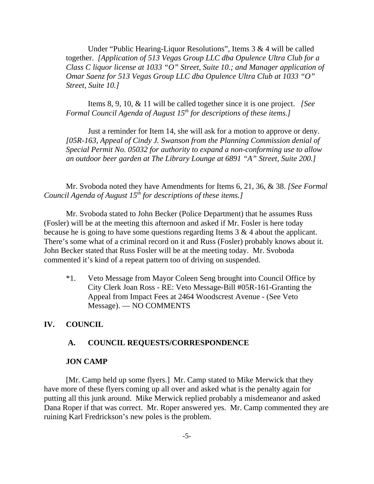Under "Public Hearing-Liquor Resolutions", Items 3 & 4 will be called together. *[Application of 513 Vegas Group LLC dba Opulence Ultra Club for a Class C liquor license at 1033 "O" Street, Suite 10.; and Manager application of Omar Saenz for 513 Vegas Group LLC dba Opulence Ultra Club at 1033 "O" Street, Suite 10.]*

Items 8, 9, 10, & 11 will be called together since it is one project. *[See Formal Council Agenda of August 15<sup>th</sup> for descriptions of these items.]* 

Just a reminder for Item 14, she will ask for a motion to approve or deny. *[05R-163, Appeal of Cindy J. Swanson from the Planning Commission denial of Special Permit No. 05032 for authority to expand a non-conforming use to allow an outdoor beer garden at The Library Lounge at 6891 "A" Street, Suite 200.]*

Mr. Svoboda noted they have Amendments for Items 6, 21, 36, & 38. *[See Formal Council Agenda of August 15th for descriptions of these items.]* 

Mr. Svoboda stated to John Becker (Police Department) that he assumes Russ (Fosler) will be at the meeting this afternoon and asked if Mr. Fosler is here today because he is going to have some questions regarding Items 3 & 4 about the applicant. There's some what of a criminal record on it and Russ (Fosler) probably knows about it. John Becker stated that Russ Fosler will be at the meeting today. Mr. Svoboda commented it's kind of a repeat pattern too of driving on suspended.

\*1. Veto Message from Mayor Coleen Seng brought into Council Office by City Clerk Joan Ross - RE: Veto Message-Bill #05R-161-Granting the Appeal from Impact Fees at 2464 Woodscrest Avenue - (See Veto Message). — NO COMMENTS

#### **IV. COUNCIL**

#### **A. COUNCIL REQUESTS/CORRESPONDENCE**

#### **JON CAMP**

[Mr. Camp held up some flyers.] Mr. Camp stated to Mike Merwick that they have more of these flyers coming up all over and asked what is the penalty again for putting all this junk around. Mike Merwick replied probably a misdemeanor and asked Dana Roper if that was correct. Mr. Roper answered yes. Mr. Camp commented they are ruining Karl Fredrickson's new poles is the problem.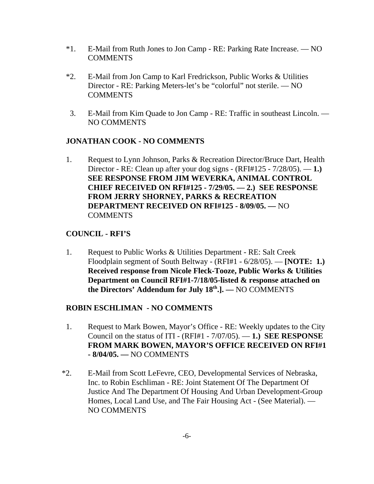- \*1. E-Mail from Ruth Jones to Jon Camp RE: Parking Rate Increase. NO **COMMENTS**
- \*2. E-Mail from Jon Camp to Karl Fredrickson, Public Works & Utilities Director - RE: Parking Meters-let's be "colorful" not sterile. — NO COMMENTS
- 3. E-Mail from Kim Quade to Jon Camp RE: Traffic in southeast Lincoln. NO COMMENTS

## **JONATHAN COOK - NO COMMENTS**

1. Request to Lynn Johnson, Parks & Recreation Director/Bruce Dart, Health Director - RE: Clean up after your dog signs - (RFI#125 - 7/28/05). — **1.) SEE RESPONSE FROM JIM WEVERKA, ANIMAL CONTROL CHIEF RECEIVED ON RFI#125 - 7/29/05. — 2.) SEE RESPONSE FROM JERRY SHORNEY, PARKS & RECREATION DEPARTMENT RECEIVED ON RFI#125 - 8/09/05. —** NO COMMENTS

## **COUNCIL - RFI'S**

1. Request to Public Works & Utilities Department - RE: Salt Creek Floodplain segment of South Beltway - (RFI#1 - 6/28/05). — **[NOTE: 1.) Received response from Nicole Fleck-Tooze, Public Works & Utilities Department on Council RFI#1-7/18/05-listed & response attached on the Directors' Addendum for July 18th.]. —** NO COMMENTS

## **ROBIN ESCHLIMAN - NO COMMENTS**

- 1. Request to Mark Bowen, Mayor's Office RE: Weekly updates to the City Council on the status of ITI - (RFI#1 - 7/07/05). — **1.) SEE RESPONSE FROM MARK BOWEN, MAYOR'S OFFICE RECEIVED ON RFI#1 - 8/04/05. —** NO COMMENTS
- \*2. E-Mail from Scott LeFevre, CEO, Developmental Services of Nebraska, Inc. to Robin Eschliman - RE: Joint Statement Of The Department Of Justice And The Department Of Housing And Urban Development-Group Homes, Local Land Use, and The Fair Housing Act - (See Material). — NO COMMENTS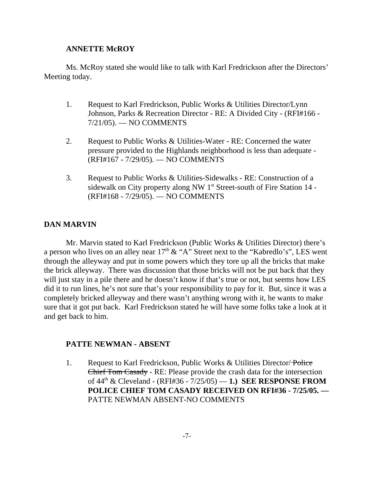#### **ANNETTE McROY**

Ms. McRoy stated she would like to talk with Karl Fredrickson after the Directors' Meeting today.

- 1. Request to Karl Fredrickson, Public Works & Utilities Director/Lynn Johnson, Parks & Recreation Director - RE: A Divided City - (RFI#166 - 7/21/05). — NO COMMENTS
- 2. Request to Public Works & Utilities-Water RE: Concerned the water pressure provided to the Highlands neighborhood is less than adequate - (RFI#167 - 7/29/05). — NO COMMENTS
- 3. Request to Public Works & Utilities-Sidewalks RE: Construction of a sidewalk on City property along NW 1<sup>st</sup> Street-south of Fire Station 14 -(RFI#168 - 7/29/05). — NO COMMENTS

#### **DAN MARVIN**

Mr. Marvin stated to Karl Fredrickson (Public Works & Utilities Director) there's a person who lives on an alley near  $17<sup>th</sup>$  & "A" Street next to the "Kabredlo's", LES went through the alleyway and put in some powers which they tore up all the bricks that make the brick alleyway. There was discussion that those bricks will not be put back that they will just stay in a pile there and he doesn't know if that's true or not, but seems how LES did it to run lines, he's not sure that's your responsibility to pay for it. But, since it was a completely bricked alleyway and there wasn't anything wrong with it, he wants to make sure that it got put back. Karl Fredrickson stated he will have some folks take a look at it and get back to him.

#### **PATTE NEWMAN - ABSENT**

1. Request to Karl Fredrickson, Public Works & Utilities Director/Police Chief Tom Casady - RE: Please provide the crash data for the intersection of 44th & Cleveland - (RFI#36 - 7/25/05) — **1.) SEE RESPONSE FROM POLICE CHIEF TOM CASADY RECEIVED ON RFI#36 - 7/25/05. —** PATTE NEWMAN ABSENT-NO COMMENTS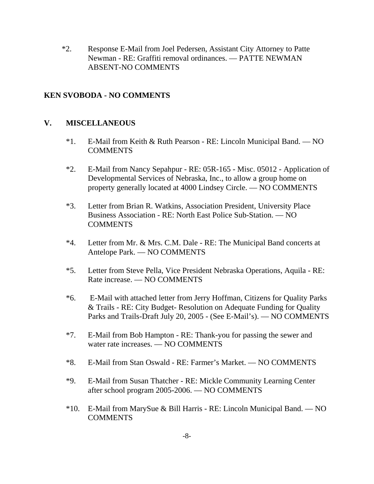\*2. Response E-Mail from Joel Pedersen, Assistant City Attorney to Patte Newman - RE: Graffiti removal ordinances. — PATTE NEWMAN ABSENT-NO COMMENTS

#### **KEN SVOBODA - NO COMMENTS**

#### **V. MISCELLANEOUS**

- \*1. E-Mail from Keith & Ruth Pearson RE: Lincoln Municipal Band. NO COMMENTS
- \*2. E-Mail from Nancy Sepahpur RE: 05R-165 Misc. 05012 Application of Developmental Services of Nebraska, Inc., to allow a group home on property generally located at 4000 Lindsey Circle. — NO COMMENTS
- \*3. Letter from Brian R. Watkins, Association President, University Place Business Association - RE: North East Police Sub-Station. — NO COMMENTS
- \*4. Letter from Mr. & Mrs. C.M. Dale RE: The Municipal Band concerts at Antelope Park. — NO COMMENTS
- \*5. Letter from Steve Pella, Vice President Nebraska Operations, Aquila RE: Rate increase. — NO COMMENTS
- \*6. E-Mail with attached letter from Jerry Hoffman, Citizens for Quality Parks & Trails - RE: City Budget- Resolution on Adequate Funding for Quality Parks and Trails-Draft July 20, 2005 - (See E-Mail's). — NO COMMENTS
- \*7. E-Mail from Bob Hampton RE: Thank-you for passing the sewer and water rate increases. — NO COMMENTS
- \*8. E-Mail from Stan Oswald RE: Farmer's Market. NO COMMENTS
- \*9. E-Mail from Susan Thatcher RE: Mickle Community Learning Center after school program 2005-2006. — NO COMMENTS
- \*10. E-Mail from MarySue & Bill Harris RE: Lincoln Municipal Band. NO COMMENTS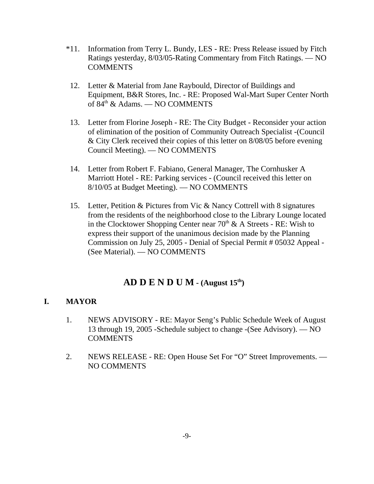- \*11. Information from Terry L. Bundy, LES RE: Press Release issued by Fitch Ratings yesterday, 8/03/05-Rating Commentary from Fitch Ratings. — NO COMMENTS
- 12. Letter & Material from Jane Raybould, Director of Buildings and Equipment, B&R Stores, Inc. - RE: Proposed Wal-Mart Super Center North of 84<sup>th</sup> & Adams. — NO COMMENTS
- 13. Letter from Florine Joseph RE: The City Budget Reconsider your action of elimination of the position of Community Outreach Specialist -(Council & City Clerk received their copies of this letter on 8/08/05 before evening Council Meeting). — NO COMMENTS
- 14. Letter from Robert F. Fabiano, General Manager, The Cornhusker A Marriott Hotel - RE: Parking services - (Council received this letter on 8/10/05 at Budget Meeting). — NO COMMENTS
- 15. Letter, Petition & Pictures from Vic & Nancy Cottrell with 8 signatures from the residents of the neighborhood close to the Library Lounge located in the Clocktower Shopping Center near  $70<sup>th</sup>$  & A Streets - RE: Wish to express their support of the unanimous decision made by the Planning Commission on July 25, 2005 - Denial of Special Permit # 05032 Appeal - (See Material). — NO COMMENTS

# **AD D E N D U M - (August 15th)**

## **I. MAYOR**

- 1. NEWS ADVISORY RE: Mayor Seng's Public Schedule Week of August 13 through 19, 2005 -Schedule subject to change -(See Advisory). — NO **COMMENTS**
- 2. NEWS RELEASE RE: Open House Set For "O" Street Improvements. NO COMMENTS